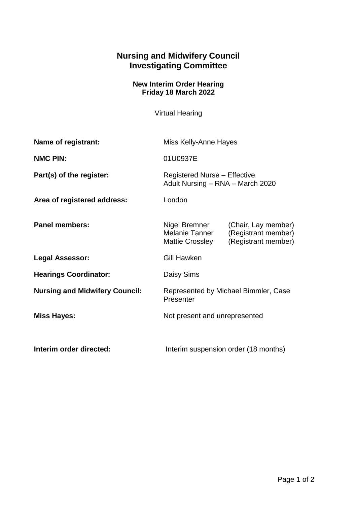## **Nursing and Midwifery Council Investigating Committee**

## **New Interim Order Hearing Friday 18 March 2022**

Virtual Hearing

| Name of registrant:                   | Miss Kelly-Anne Hayes                                                   |                                                                   |
|---------------------------------------|-------------------------------------------------------------------------|-------------------------------------------------------------------|
| <b>NMC PIN:</b>                       | 01U0937E                                                                |                                                                   |
| Part(s) of the register:              | <b>Registered Nurse - Effective</b><br>Adult Nursing - RNA - March 2020 |                                                                   |
| Area of registered address:           | London                                                                  |                                                                   |
| <b>Panel members:</b>                 | Nigel Bremner<br>Melanie Tanner<br><b>Mattie Crossley</b>               | (Chair, Lay member)<br>(Registrant member)<br>(Registrant member) |
| Legal Assessor:                       | <b>Gill Hawken</b>                                                      |                                                                   |
| <b>Hearings Coordinator:</b>          | Daisy Sims                                                              |                                                                   |
| <b>Nursing and Midwifery Council:</b> | Represented by Michael Bimmler, Case<br>Presenter                       |                                                                   |
| <b>Miss Hayes:</b>                    | Not present and unrepresented                                           |                                                                   |
| Interim order directed:               | Interim suspension order (18 months)                                    |                                                                   |